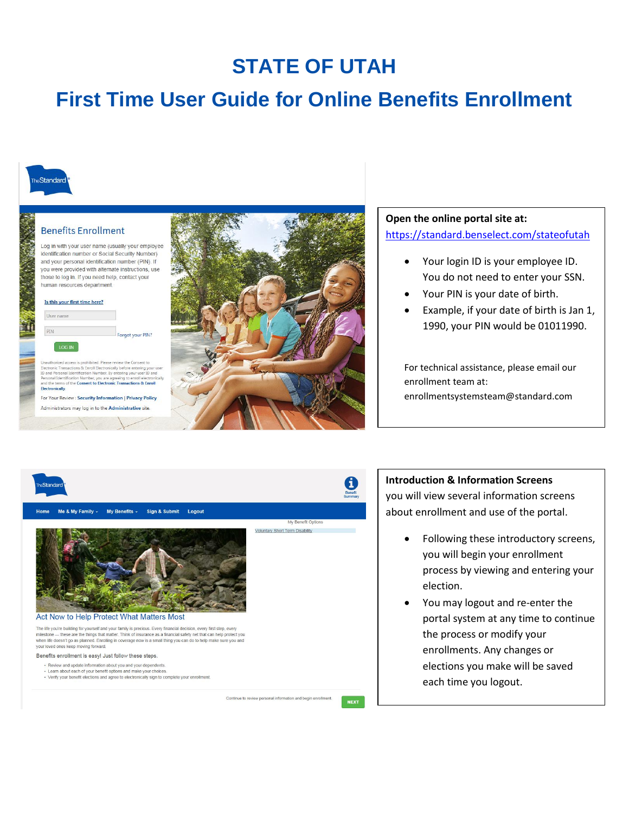## **STATE OF UTAH**

# **First Time User Guide for Online Benefits Enrollment**



## **Benefits Enrollment**

Log in with your user name (usually your employee identification number or Social Security Number) and your personal identification number (PIN). If you were provided with alternate instructions, use those to log in. If you need help, contact your human resources department.

#### Is this your first time here?

| User name |                 |
|-----------|-----------------|
|           | Forgot your PIN |

Conservation access is promotions. Presed review and conservation of Bectronic Transactions & Enroll Electronically before entering your use<br>ID and Personal Identification Number. By entering your user ID and<br>Personal Iden **Electronically** 

For Your Review : Security Information | Privacy Policy Administrators may log in to the Administrative site.



## **Open the online portal site at:** <https://standard.benselect.com/stateofutah>

- Your login ID is your employee ID. You do not need to enter your SSN.
- Your PIN is your date of birth.
- Example, if your date of birth is Jan 1, 1990, your PIN would be 01011990.

For technical assistance, please email our enrollment team at: enrollmentsystemsteam@standard.com



### **Introduction & Information Screens**

you will view several information screens about enrollment and use of the portal.

- Following these introductory screens, you will begin your enrollment process by viewing and entering your election.
- You may logout and re-enter the portal system at any time to continue the process or modify your enrollments. Any changes or elections you make will be saved each time you logout.